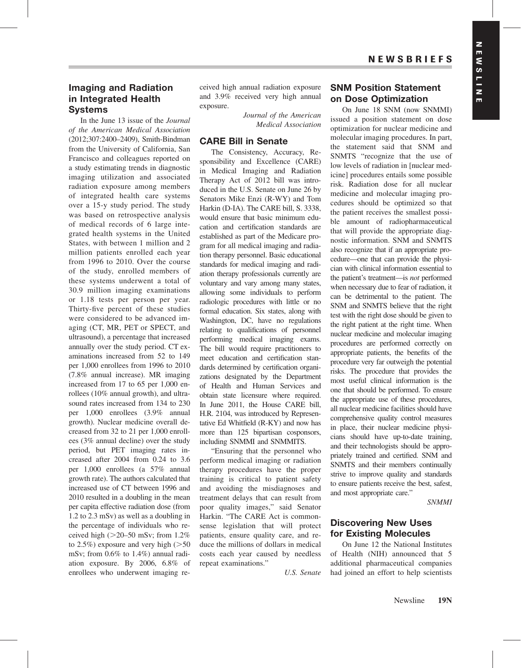## Imaging and Radiation in Integrated Health Systems

In the June 13 issue of the Journal of the American Medical Association (2012;307:2400–2409), Smith-Bindman from the University of California, San Francisco and colleagues reported on a study estimating trends in diagnostic imaging utilization and associated radiation exposure among members of integrated health care systems over a 15-y study period. The study was based on retrospective analysis of medical records of 6 large integrated health systems in the United States, with between 1 million and 2 million patients enrolled each year from 1996 to 2010. Over the course of the study, enrolled members of these systems underwent a total of 30.9 million imaging examinations or 1.18 tests per person per year. Thirty-five percent of these studies were considered to be advanced imaging (CT, MR, PET or SPECT, and ultrasound), a percentage that increased annually over the study period. CT examinations increased from 52 to 149 per 1,000 enrollees from 1996 to 2010 (7.8% annual increase). MR imaging increased from 17 to 65 per 1,000 enrollees (10% annual growth), and ultrasound rates increased from 134 to 230 per 1,000 enrollees (3.9% annual growth). Nuclear medicine overall decreased from 32 to 21 per 1,000 enrollees (3% annual decline) over the study period, but PET imaging rates increased after 2004 from 0.24 to 3.6 per 1,000 enrollees (a 57% annual growth rate). The authors calculated that increased use of CT between 1996 and 2010 resulted in a doubling in the mean per capita effective radiation dose (from 1.2 to 2.3 mSv) as well as a doubling in the percentage of individuals who received high ( $>20-50$  mSv; from 1.2% to 2.5%) exposure and very high  $(>=50$ mSv; from 0.6% to 1.4%) annual radiation exposure. By 2006, 6.8% of enrollees who underwent imaging received high annual radiation exposure and 3.9% received very high annual exposure.

> Journal of the American Medical Association

## CARE Bill in Senate

The Consistency, Accuracy, Responsibility and Excellence (CARE) in Medical Imaging and Radiation Therapy Act of 2012 bill was introduced in the U.S. Senate on June 26 by Senators Mike Enzi (R-WY) and Tom Harkin (D-IA). The CARE bill, S. 3338, would ensure that basic minimum education and certification standards are established as part of the Medicare program for all medical imaging and radiation therapy personnel. Basic educational standards for medical imaging and radiation therapy professionals currently are voluntary and vary among many states, allowing some individuals to perform radiologic procedures with little or no formal education. Six states, along with Washington, DC, have no regulations relating to qualifications of personnel performing medical imaging exams. The bill would require practitioners to meet education and certification standards determined by certification organizations designated by the Department of Health and Human Services and obtain state licensure where required. In June 2011, the House CARE bill, H.R. 2104, was introduced by Representative Ed Whitfield (R-KY) and now has more than 125 bipartisan cosponsors, including SNMMI and SNMMITS.

"Ensuring that the personnel who perform medical imaging or radiation therapy procedures have the proper training is critical to patient safety and avoiding the misdiagnoses and treatment delays that can result from poor quality images," said Senator Harkin. "The CARE Act is commonsense legislation that will protect patients, ensure quality care, and reduce the millions of dollars in medical costs each year caused by needless repeat examinations."

U.S. Senate

## SNM Position Statement on Dose Optimization

On June 18 SNM (now SNMMI) issued a position statement on dose optimization for nuclear medicine and molecular imaging procedures. In part, the statement said that SNM and SNMTS "recognize that the use of low levels of radiation in [nuclear medicine] procedures entails some possible risk. Radiation dose for all nuclear medicine and molecular imaging procedures should be optimized so that the patient receives the smallest possible amount of radiopharmaceutical that will provide the appropriate diagnostic information. SNM and SNMTS also recognize that if an appropriate procedure—one that can provide the physician with clinical information essential to the patient's treatment—is not performed when necessary due to fear of radiation, it can be detrimental to the patient. The SNM and SNMTS believe that the right test with the right dose should be given to the right patient at the right time. When nuclear medicine and molecular imaging procedures are performed correctly on appropriate patients, the benefits of the procedure very far outweigh the potential risks. The procedure that provides the most useful clinical information is the one that should be performed. To ensure the appropriate use of these procedures, all nuclear medicine facilities should have comprehensive quality control measures in place, their nuclear medicine physicians should have up-to-date training, and their technologists should be appropriately trained and certified. SNM and SNMTS and their members continually strive to improve quality and standards to ensure patients receive the best, safest, and most appropriate care."

**SNMMI** 

## Discovering New Uses for Existing Molecules

On June 12 the National Institutes of Health (NIH) announced that 5 additional pharmaceutical companies had joined an effort to help scientists